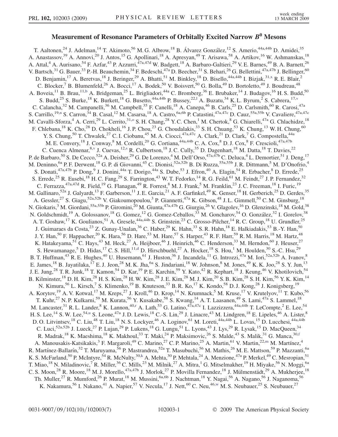## Measurement of Resonance Parameters of Orbitally Excited Narrow *B<sup>0</sup>* Mesons

<span id="page-0-0"></span>T. Aaltonen,<sup>24</sup> J. Adelman,<sup>14</sup> T. Akimoto,<sup>56</sup> M. G. Albrow,<sup>18</sup> B. Álvarez González,<sup>12</sup> S. Amerio,<sup>44a,44b</sup> D. Amidei,<sup>35</sup> A. Anastassov,<sup>39</sup> A. Annovi,<sup>20</sup> J. Antos,<sup>15</sup> G. Apollinari,<sup>18</sup> A. Apresyan,<sup>49</sup> T. Arisawa,<sup>58</sup> A. Artikov,<sup>16</sup> W. Ashmanskas,<sup>18</sup> A. Attal,<sup>4</sup> A. Aurisano,<sup>54</sup> F. Azfar,<sup>43</sup> P. Azzurri,<sup>47a,47d</sup> W. Badgett,<sup>18</sup> A. Barbaro-Galtieri,<sup>29</sup> V. E. Barnes,<sup>49</sup> B. A. Barnett,<sup>26</sup> V. Bartsch,<sup>31</sup> G. Bauer,<sup>33</sup> P.-H. Beauchemin,<sup>34</sup> F. Bedeschi,<sup>47a</sup> D. Beecher,<sup>31</sup> S. Behari,<sup>26</sup> G. Bellettini,<sup>47a,47b</sup> J. Bellinger,<sup>60</sup> D. Benjamin,<sup>17</sup> A. Beretvas,<sup>18</sup> J. Beringer,<sup>29</sup> A. Bhatti,<sup>51</sup> M. Binkley,<sup>18</sup> D. Bisello,<sup>44a,44b</sup> I. Bizjak,<sup>31[,x](#page-6-0)</sup> R. E. Blair,<sup>2</sup> C. Blocker,<sup>7</sup> B. Blumenfeld,<sup>26</sup> A. Bocci,<sup>17</sup> A. Bodek,<sup>50</sup> V. Boisvert,<sup>50</sup> G. Bolla,<sup>49</sup> D. Bortoletto,<sup>49</sup> J. Boudreau,<sup>48</sup> A. Boveia,<sup>11</sup> B. Brau,<sup>11[,b](#page-5-0)</sup> A. Bridgeman,<sup>25</sup> L. Brigliadori,<sup>44a</sup> C. Bromberg,<sup>36</sup> E. Brubaker,<sup>14</sup> J. Budagov,<sup>16</sup> H. S. Budd,<sup>50</sup> S. Budd,<sup>25</sup> S. Burke,<sup>18</sup> K. Burkett,<sup>18</sup> G. Busetto,<sup>44a,44b</sup> P. Bussey,<sup>22,1</sup> A. Buzatu,<sup>34</sup> K. L. Byrum,<sup>2</sup> S. Cabrera,<sup>17,[v](#page-6-0)</sup> C. Calancha,<sup>32</sup> M. Campanelli,<sup>36</sup> M. Campbell,<sup>35</sup> F. Canelli,<sup>18</sup> A. Canepa,<sup>46</sup> B. Carls,<sup>25</sup> D. Carlsmith,<sup>60</sup> R. Carosi,<sup>47a</sup> S. Carrillo,<sup>19[,n](#page-6-0)</sup> S. Carron,<sup>34</sup> B. Casal,<sup>12</sup> M. Casarsa,<sup>18</sup> A. Castro,<sup>6a,6b</sup> P. Catastini,<sup>47a,47c</sup> D. Cauz,<sup>55a,55b</sup> V. Cavaliere,<sup>47a,47c</sup> M. Cavalli-Sforza,<sup>4</sup> A. Cerri,<sup>29</sup> L. Cerrito,<sup>31,0</sup> S. H. Chang,<sup>28</sup> Y. C. Chen,<sup>1</sup> M. Chertok,<sup>8</sup> G. Chiarelli,<sup>47a</sup> G. Chlachidze,<sup>18</sup> F. Chlebana,<sup>18</sup> K. Cho,<sup>28</sup> D. Chokheli,<sup>16</sup> J. P. Chou,<sup>23</sup> G. Choudalakis,<sup>33</sup> S. H. Chuang,<sup>53</sup> K. Chung,<sup>13</sup> W. H. Chung,<sup>60</sup> Y. S. Chung,<sup>50</sup> T. Chwalek,<sup>27</sup> C. I. Ciobanu,<sup>45</sup> M. A. Ciocci,<sup>47a,47c</sup> A. Clark,<sup>21</sup> D. Clark,<sup>7</sup> G. Compostella,<sup>44a</sup> M. E. Convery,<sup>18</sup> J. Conway,<sup>8</sup> M. Cordelli,<sup>20</sup> G. Cortiana,<sup>44a,44b</sup> C. A. Cox,<sup>8</sup> D. J. Cox,<sup>8</sup> F. Crescioli,<sup>47a,47b</sup> C. Cuenca Almenar,<sup>8,[v](#page-6-0)</sup> J. Cuevas,<sup>12[,s](#page-6-0)</sup> R. Culbertson,<sup>18</sup> J. C. Cully,<sup>35</sup> D. Dagenhart,<sup>18</sup> M. Datta,<sup>18</sup> T. Davies,<sup>22</sup> P. de Barbaro,<sup>50</sup> S. De Cecco,<sup>52a</sup> A. Deisher,<sup>29</sup> G. De Lorenzo,<sup>4</sup> M. Dell'Orso,<sup>47a,47b</sup> C. Deluca,<sup>4</sup> L. Demortier,<sup>51</sup> J. Deng,<sup>17</sup> M. Deninno, <sup>6a</sup> P. F. Derwent, <sup>18</sup> G. P. di Giovanni, <sup>45</sup> C. Dionisi, <sup>52a, 52b</sup> B. Di Ruzza, <sup>55a, 55b</sup> J. R. Dittmann, <sup>5</sup> M. D'Onofrio, <sup>4</sup> S. Donati,<sup>47a,47b</sup> P. Dong,<sup>9</sup> J. Donini,<sup>44a</sup> T. Dorigo,<sup>44a</sup> S. Dube,<sup>53</sup> J. Efron,<sup>40</sup> A. Elagin,<sup>54</sup> R. Erbacher,<sup>8</sup> D. Errede,<sup>25</sup> S. Errede,<sup>25</sup> R. Eusebi,<sup>18</sup> H. C. Fang,<sup>29</sup> S. Farrington,<sup>43</sup> W. T. Fedorko,<sup>14</sup> R. G. Feild,<sup>61</sup> M. Feindt,<sup>27</sup> J. P. Fernandez,<sup>32</sup> C. Ferrazza,  $47a,47d$  R. Field,  $19$  G. Flanagan,  $49$  R. Forrest,  $8$  M. J. Frank,  $5$  M. Franklin,  $23$  J. C. Freeman,  $18$  I. Furic,  $19$ M. Gallinaro,<sup>52a</sup> J. Galyardt,<sup>13</sup> F. Garberson,<sup>11</sup> J. E. Garcia,<sup>21</sup> A. F. Garfinkel,<sup>49</sup> K. Genser,<sup>18</sup> H. Gerberich,<sup>25</sup> D. Gerdes,<sup>35</sup> A. Gessler,<sup>27</sup> S. Giagu,<sup>52a,52b</sup> V. Giakoumopoulou,<sup>3</sup> P. Giannetti,<sup>47a</sup> K. Gibson,<sup>48</sup> J. L. Gimmell,<sup>50</sup> C. M. Ginsburg,<sup>18</sup> N. Giokaris,<sup>3</sup> M. Giordani,<sup>55a,55b</sup> P. Giromini,<sup>20</sup> M. Giunta,<sup>47a,47b</sup> G. Giurgiu,<sup>26</sup> V. Glagolev,<sup>16</sup> D. Glenzinski,<sup>18</sup> M. Gold,<sup>38</sup> N. Goldschmidt,<sup>19</sup> A. Golossanov,<sup>18</sup> G. Gomez,<sup>12</sup> G. Gomez-Ceballos,<sup>33</sup> M. Goncharov,<sup>54</sup> O. González,<sup>32</sup> I. Gorelov,<sup>38</sup> A. T. Goshaw,<sup>17</sup> K. Goulianos,<sup>51</sup> A. Gresele,<sup>44a,44b</sup> S. Grinstein,<sup>23</sup> C. Grosso-Pilcher,<sup>14</sup> R. C. Group,<sup>18</sup> U. Grundler,<sup>25</sup> J. Guimaraes da Costa,<sup>23</sup> Z. Gunay-Unalan,<sup>36</sup> C. Haber,<sup>29</sup> K. Hahn,<sup>33</sup> S. R. Hahn,<sup>18</sup> E. Halkiadakis,<sup>53</sup> B.-Y. Han,<sup>50</sup> J. Y. Han,<sup>50</sup> F. Happacher,<sup>20</sup> K. Hara,<sup>56</sup> D. Hare,<sup>53</sup> M. Hare,<sup>57</sup> S. Harper,<sup>43</sup> R. F. Harr,<sup>59</sup> R. M. Harris,<sup>18</sup> M. Hartz,<sup>48</sup> K. Hatakeyama,<sup>51</sup> C. Hays,<sup>43</sup> M. Heck,<sup>27</sup> A. Heijboer,<sup>46</sup> J. Heinrich,<sup>46</sup> C. Henderson,<sup>33</sup> M. Herndon,<sup>60</sup> J. Heuser,<sup>27</sup> S. Hewamanage,<sup>5</sup> D. Hi[d](#page-6-0)as,<sup>17</sup> C. S. Hill,<sup>11,d</sup> D. Hirschbuehl,<sup>27</sup> A. Hocker,<sup>18</sup> S. Hou,<sup>1</sup> M. Houlden,<sup>30</sup> S.-C. Hsu,<sup>29</sup> B. T. Huffman,<sup>43</sup> R. E. Hughes,<sup>40</sup> U. Husemann,<sup>61</sup> J. Huston,<sup>36</sup> J. Incandela,<sup>11</sup> G. Introzzi,<sup>47a</sup> M. Iori,<sup>52a,52b</sup> A. Ivanov,<sup>8</sup> E. James, $^{18}$  B. Jayatilaka, $^{17}$  E. J. Jeon, $^{28}$  M. K. Jha, $^{6a}$  S. Jindariani, $^{18}$  W. Johnson, $^{8}$  M. Jones, $^{49}$  K. K. Joo, $^{28}$  S. Y. Jun, $^{13}$ J. E. Jung,<sup>28</sup> T. R. Junk,<sup>18</sup> T. Kamon,<sup>54</sup> D. Kar,<sup>19</sup> P. E. Karchin,<sup>59</sup> Y. Kato,<sup>42</sup> R. Kephart,<sup>18</sup> J. Keung,<sup>46</sup> V. Khotilovich,<sup>54</sup> B. Kilminster,<sup>18</sup> D. H. Kim,<sup>28</sup> H. S. Kim,<sup>28</sup> H. W. Kim,<sup>28</sup> J. E. Kim,<sup>28</sup> M. J. Kim,<sup>20</sup> S. B. Kim,<sup>28</sup> S. H. Kim,<sup>56</sup> Y. K. Kim,<sup>14</sup> N. Kimura,<sup>56</sup> L. Kirsch,<sup>7</sup> S. Klimenko,<sup>19</sup> B. Knuteson,<sup>33</sup> B. R. Ko,<sup>17</sup> K. Kondo,<sup>58</sup> D. J. Kong,<sup>28</sup> J. Konigsberg,<sup>19</sup> A. Korytov,<sup>19</sup> A. V. Kotwal,<sup>17</sup> M. Kreps,<sup>27</sup> J. Kroll,<sup>46</sup> D. Krop,<sup>14</sup> N. Krumnack,<sup>5</sup> M. Kruse,<sup>17</sup> V. Krutelyov,<sup>11</sup> T. Kubo,<sup>56</sup> T. Kuhr,<sup>27</sup> N. P. Kulkarni,<sup>59</sup> M. Kurata,<sup>56</sup> Y. Kusakabe,<sup>58</sup> S. Kwang,<sup>14</sup> A. T. Laasanen,<sup>49</sup> S. Lami,<sup>47a</sup> S. Lammel,<sup>18</sup> M. Lancaste[r](#page-6-0),<sup>31</sup> R. L. Lander,<sup>8</sup> K. Lannon,<sup>40,r</sup> A. Lath,<sup>53</sup> G. Latino,<sup>47a,47c</sup> I. Lazzizzera,<sup>44a,44b</sup> T. LeCompte,<sup>2</sup> E. Lee,<sup>54</sup> H. S. Lee, <sup>14</sup> S. W. Lee, <sup>54[,u](#page-6-0)</sup> S. Leone, <sup>47a</sup> J. D. Lewis, <sup>18</sup> C.-S. Lin, <sup>29</sup> J. Linacre, <sup>43</sup> M. Lindgren, <sup>18</sup> E. Lipeles, <sup>46</sup> A. Lister, <sup>8</sup> D. O. Litvintsev, <sup>18</sup> C. Liu, <sup>48</sup> T. Liu, <sup>18</sup> N. S. Lockyer, <sup>46</sup> A. Loginov, <sup>61</sup> M. Loreti, <sup>44a, 44b</sup> L. Lovas, <sup>15</sup> D. Lucchesi, <sup>44a, 44b</sup> C. Luci,<sup>52a,52b</sup> J. Lueck,<sup>27</sup> P. Lujan,<sup>29</sup> P. Lukens,<sup>18</sup> G. Lungu,<sup>51</sup> L. Lyons,<sup>43</sup> J. Lys,<sup>29</sup> R. Lysak,<sup>15</sup> D. MacQueen,<sup>34</sup> R. Madrak,<sup>18</sup> K. Maeshima,<sup>18</sup> K. Makhoul,<sup>33</sup> T. Maki,<sup>24</sup> P. Maksimovic,<sup>26</sup> S. Malde,<sup>43</sup> S. Malik,<sup>31</sup> G. Manca,<sup>30,[f](#page-6-0)</sup> A. Manousakis-Katsikakis,<sup>3</sup> F. Margaroli,<sup>49</sup> C. Marino,<sup>27</sup> C. P. Marino,<sup>25</sup> A. Martin,<sup>61</sup> V. Martin,<sup>22,[m](#page-6-0)</sup> M. Martínez,<sup>4</sup> R. Martínez-Ballarín,<sup>32</sup> T. Maruyama,<sup>56</sup> P. Mastrandrea,<sup>52a</sup> T. Masubuchi,<sup>56</sup> M. Mathis,<sup>26</sup> M. E. Mattson,<sup>59</sup> P. Mazzanti,<sup>6a</sup> K. S. McFarland,<sup>50</sup> P. McIntyre,<sup>54</sup> R. McNulty,<sup>30,[k](#page-6-0)</sup> A. Mehta,<sup>30</sup> P. Mehtala,<sup>24</sup> A. Menzione,<sup>47a</sup> P. Merkel,<sup>49</sup> C. Mesropian,<sup>51</sup> T. Miao,<sup>18</sup> N. Miladinovic,<sup>7</sup> R. Miller,<sup>36</sup> C. Mills,<sup>23</sup> M. Milnik,<sup>27</sup> A. Mitra,<sup>1</sup> G. Mitselmakher,<sup>19</sup> H. Miyake,<sup>56</sup> N. Moggi,<sup>6a</sup> C. S. Moon,<sup>28</sup> R. Moore,<sup>18</sup> M. J. Morello,<sup>47a,47b</sup> J. Morlok,<sup>27</sup> P. Movilla Fernandez,<sup>18</sup> J. Mülmenstädt,<sup>29</sup> A. Mukherjee,<sup>18</sup> Th. Muller,<sup>27</sup> R. Mumford,<sup>26</sup> P. Murat,<sup>18</sup> M. Mussini,<sup>6a,6b</sup> J. Nachtman,<sup>18</sup> Y. Nagai,<sup>56</sup> A. Nagano,<sup>56</sup> J. Naganoma,<sup>56</sup> K. Nakamura,<sup>56</sup> I. Nakano,<sup>41</sup> A. Napier,<sup>57</sup> V. Necula,<sup>17</sup> J. Nett,<sup>60</sup> C. Neu,<sup>46,[w](#page-6-0)</sup> M. S. Neubauer,<sup>25</sup> S. Neubauer,<sup>27</sup>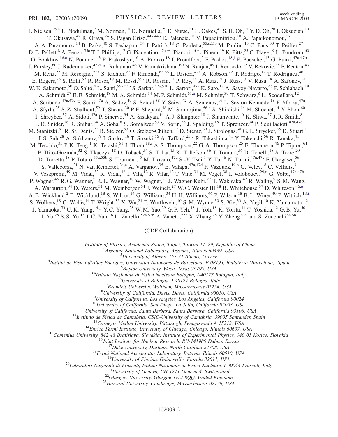<span id="page-1-0"></span>J. Nielsen,<sup>29,[h](#page-6-0)</sup> L. Nodulman,<sup>2</sup> M. Norman,<sup>10</sup> O. Norniella,<sup>25</sup> E. Nurse,<sup>31</sup> L. Oakes,<sup>43</sup> S. H. Oh,<sup>17</sup> Y. D. Oh,<sup>28</sup> I. Oksuzian,<sup>19</sup> T. Okusawa,<sup>42</sup> R. Orava,<sup>24</sup> S. Pagan Griso,<sup>44a,44b</sup> E. Palencia,<sup>18</sup> V. Papadimitriou,<sup>18</sup> A. Papaikonomou,<sup>27</sup> A. A. Paramonov,<sup>14</sup> B. Parks,<sup>40</sup> S. Pashapour,<sup>34</sup> J. Patrick,<sup>18</sup> G. Pauletta,<sup>55a,55b</sup> M. Paulini,<sup>13</sup> C. Paus,<sup>33</sup> T. Peiffer,<sup>27</sup> D. E. Pellett,<sup>8</sup> A. Penzo,<sup>55a</sup> T. J. Phillips,<sup>17</sup> G. Piacentino,<sup>47a</sup> E. Pianori,<sup>46</sup> L. Pinera,<sup>19</sup> K. Pitts,<sup>25</sup> C. Plager,<sup>9</sup> L. Pondrom,<sup>60</sup> O. Poukhov, <sup>16,[a](#page-5-0)</sup> N. Pounder, <sup>43</sup> F. Prakoshyn, <sup>16</sup> A. Pronko, <sup>18</sup> J. Proudfoot, <sup>2</sup> F. Ptohos, <sup>18[,j](#page-6-0)</sup> E. Pueschel, <sup>13</sup> G. Punzi, <sup>47a, 47b</sup> J. Pursley,<sup>60</sup> J. Ra[d](#page-6-0)emacker,<sup>43,d</sup> A. Rahaman,<sup>48</sup> V. Ramakrishnan,<sup>60</sup> N. Ranjan,<sup>49</sup> I. Redondo,<sup>32</sup> V. Rekovic,<sup>38</sup> P. Renton,<sup>43</sup> M. Renz,<sup>27</sup> M. Rescigno,<sup>52a</sup> S. Richter,<sup>27</sup> F. Rimondi,<sup>6a,6b</sup> L. Ristori,<sup>47a</sup> A. Robson,<sup>22</sup> T. Rodrigo,<sup>12</sup> T. Rodriguez,<sup>46</sup> E. Rogers,<sup>25</sup> S. Rolli,<sup>57</sup> R. Roser,<sup>18</sup> M. Rossi,<sup>55a</sup> R. Rossin,<sup>11</sup> P. Roy,<sup>34</sup> A. Ruiz,<sup>12</sup> J. Russ,<sup>13</sup> V. Rusu,<sup>18</sup> A. Safonov,<sup>54</sup> W. K. Sakumoto,<sup>50</sup> O. Saltó,<sup>4</sup> L. Santi,<sup>55a,55b</sup> S. Sarkar,<sup>52a,52b</sup> L. Sartori,<sup>47a</sup> K. Sato,<sup>18</sup> A. Savoy-Navarro,<sup>45</sup> P. Schlabach,<sup>18</sup> A. Schmidt,<sup>27</sup> E. E. Schmidt,<sup>18</sup> M. A. Schmidt,<sup>14</sup> M. P. Schmidt,<sup>61,[a](#page-5-0)</sup> M. Schmitt,<sup>39</sup> T. Schwarz,<sup>8</sup> L. Scodellaro,<sup>12</sup> A. Scribano,<sup>47a,47c</sup> F. Scuri,<sup>47a</sup> A. Sedov,<sup>49</sup> S. Seidel,<sup>38</sup> Y. Seiya,<sup>42</sup> A. Semenov,<sup>16</sup> L. Sexton-Kennedy,<sup>18</sup> F. Sforza,<sup>47a</sup> A. Sfyrla,<sup>25</sup> S. Z. Shalhout,<sup>59</sup> T. Shears,<sup>30</sup> P. F. Shepard,<sup>48</sup> M. Shimojima,<sup>56,[q](#page-6-0)</sup> S. Shiraishi,<sup>14</sup> M. Shochet,<sup>14</sup> Y. Shon,<sup>60</sup> I. Shreyber,  $37$  A. Sidoti,  $47a$  P. Sinervo,  $34$  A. Sisakyan,  $16$  A. J. Slaughter,  $18$  J. Slaunwhite,  $40$  K. Sliwa,  $57$  J. R. Smith,  $8$ F. D. Snider,<sup>18</sup> R. Snihur,<sup>34</sup> A. Soha,<sup>8</sup> S. Somalwar,<sup>53</sup> V. Sorin,<sup>36</sup> J. Spalding,<sup>18</sup> T. Spreitzer,<sup>34</sup> P. Squillacioti,<sup>47a,47c</sup> M. S[t](#page-6-0)anitzki, <sup>61</sup> R. St. Denis, <sup>22</sup> B. Stelzer, <sup>9,t</sup> O. Stelzer-Chilton, <sup>17</sup> D. Stentz, <sup>39</sup> J. Strologas, <sup>38</sup> G. L. Strycker, <sup>35</sup> D. Stuart, <sup>11</sup> J. S. Suh,<sup>28</sup> A. Sukhanov,<sup>19</sup> I. Suslov,<sup>16</sup> T. Suzuki,<sup>56</sup> A. Taffard,<sup>25[,g](#page-6-0)</sup> R. Takashima,<sup>41</sup> Y. Takeuchi,<sup>56</sup> R. Tanaka,<sup>41</sup> M. Tecch[i](#page-6-0)o,<sup>35</sup> P. K. Teng,<sup>1</sup> K. Terashi,<sup>51</sup> J. Thom,<sup>18,i</sup> A. S. Thompson,<sup>22</sup> G. A. Thompson,<sup>25</sup> E. Thomson,<sup>46</sup> P. Tipton,<sup>61</sup> P. Ttito-Guzmán,<sup>32</sup> S. Tkaczyk,<sup>18</sup> D. Toback,<sup>54</sup> S. Tokar,<sup>15</sup> K. Tollefson,<sup>36</sup> T. Tomura,<sup>56</sup> D. Tonelli,<sup>18</sup> S. Torre,<sup>20</sup> D. Torretta,<sup>18</sup> P. Totaro,<sup>55a,55b</sup> S. Tourneur,<sup>45</sup> M. Trovato,<sup>47a</sup> S.-Y. Tsai,<sup>1</sup> Y. Tu,<sup>46</sup> N. Turini,<sup>47a,47c</sup> F. Ukegawa,<sup>56</sup> S. Vallecorsa,<sup>21</sup> N. van Remortel,<sup>24[,c](#page-5-0)</sup> A. Varga[n](#page-6-0)ov,<sup>35</sup> E. Vataga,<sup>47a,47d</sup> F. Vázquez,<sup>19,n</sup> G. Velev,<sup>18</sup> C. Vellidis,<sup>3</sup> V. Veszpremi,<s[u](#page-6-0)p>49</sup> M. Vidal,<sup>32</sup> R. Vidal,<sup>18</sup> I. Vila,<sup>12</sup> R. Vilar,<sup>12</sup> T. Vine,<sup>31</sup> M. Vogel,<sup>38</sup> I. Volobouev,<sup>29,u</sup> G. Volpi,<sup>47a,47b</sup> P. Wagner,<sup>46</sup> R. G. Wagner,<sup>2</sup> R. L. Wagner,<sup>18</sup> W. Wagner,<sup>27</sup> J. Wagner-Kuhr,<sup>27</sup> T. Wakisaka,<sup>42</sup> R. Wallny,<sup>9</sup> S. M. Wang,<sup>1</sup> A. Warburton,<sup>34</sup> D. Waters,<sup>31</sup> M. Weinber[g](#page-6-0)er,<sup>54</sup> J. Weinelt,<sup>27</sup> W. C. Wester III,<sup>18</sup> B. Whitehouse,<sup>57</sup> D. Whiteson,<sup>46,g</sup> A. B. W[i](#page-6-0)cklund,<sup>2</sup> E. Wicklund,<sup>18</sup> S. Wilbur,<sup>14</sup> G. Williams,<sup>34</sup> H. H. Williams,<sup>46</sup> P. Wilson,<sup>18</sup> B. L. Winer,<sup>40</sup> P. Wittich,<sup>18,i</sup> S. Wolbers,<sup>18</sup> C. Wolfe,<sup>14</sup> T. Wright,<sup>35</sup> X. Wu,<sup>21</sup> F. Würthwein,<sup>10</sup> S. M. Wynne,<sup>30</sup> S. Xie,<sup>33</sup> A. Yagil,<sup>10</sup> K. Yamamoto,<sup>42</sup> J. Yamaoka,<sup>53</sup> U.K. Yang,<sup>14[,p](#page-6-0)</sup> Y.C. Yang,<sup>28</sup> W.M. Yao,<sup>29</sup> G.P. Yeh,<sup>18</sup> J. Yoh,<sup>18</sup> K. Yorita,<sup>14</sup> T. Yoshida,<sup>42</sup> G.B. Yu,<sup>50</sup> I. Yu,<sup>28</sup> S. S. Yu,<sup>18</sup> J. C. Yun,<sup>18</sup> L. Zanello,<sup>52a,52b</sup> A. Zanetti,<sup>55a</sup> X. Zhang,<sup>25</sup> Y. Zheng,<sup>9[,e](#page-6-0)</sup> and S. Zucchelli<sup>6a,6b</sup>

## (CDF Collaboration)

<sup>1</sup>Institute of Physics, Academia Sinica, Taipei, Taiwan 11529, Republic of China<br><sup>2</sup>Argonna National Laboratory, Argonna Illinois 60430, USA

<sup>2</sup>Argonne National Laboratory, Argonne, Illinois 60439, USA<br><sup>3</sup>University of Athens, 157 71 Athens, Greece

<sup>5</sup> University of Athens, 157 71 Athens, Greece  $\frac{3}{4}$  University of Athens, 157 71 Athens, Greece

Institut de Fisica d'Altes Energies, Universitat Autonoma de Barcelona, E-08193, Bellaterra (Barcelona), Spain <sup>5</sup>

<sup>5</sup>Baylor University, Waco, Texas 76798, USA<br><sup>6a</sup>Istituto Nazionale di Fisica Nucleare Bologna, I-40127 Bologna, Italy<br><sup>6b</sup>University of Bologna, I-40127 Bologna, Italy

 ${}^{7}$ Brandeis University, Waltham, Massachusetts 02254, USA

 ${}^{8}$ University of California, Davis, Davis, California 95616, USA

<sup>9</sup>University of California, Los Angeles, Los Angeles, California 90024<br><sup>10</sup>University of California, San Diego, La Jolla, California 92093, USA

<sup>10</sup>University of California, San Diego, La Jolla, California 92093, USA<br>
<sup>11</sup>University of California, Santa Barbara, Santa Barbara, California 93106, USA<br>
<sup>12</sup>Institute de Evica de Cantabria, CSIC-University of Catheria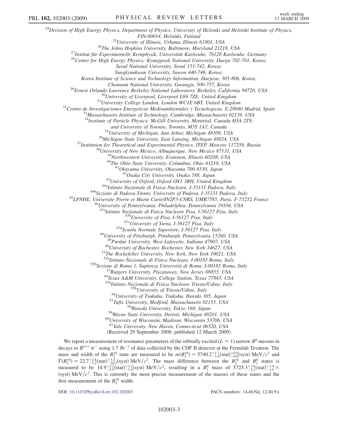$^{24}$ Division of High Energy Physics, Department of Physics, University of Helsinki and Helsinki Institute of Physics, FIN-00014, Helsinki, Finland<br><sup>25</sup>University of Illinois, Urbana, Illinois 61801, USA<br><sup>26</sup>The Johns Hopkins University, Baltimore, Maryland 21218, USA<br><sup>27</sup>Institut für Experimentelle Kernphysik, Universität Karlsruhe, 76128 Seoul National University, Seoul 151-742, Korea; Sungkyunkwan University, Suwon 440-746, Korea; Korea Institute of Science and Technology Information, Daejeon, 305-806, Korea; Chonnam National University, Gwangju, 500-757, Korea<br><sup>29</sup>Ernest Orlando Lawrence Berkeley National Laboratory, Berkeley, California 94720, USA<br><sup>30</sup>University of Liverpool, Liverpool L69 7ZE, United Kingdom<br><sup>31</sup>University C  $34$ Institute of Particle Physics: McGill University, Montréal, Canada H3A 2T8;<br>and University of Toronto, Toronto, M5S 1A7, Canada <sup>35</sup> University of Michigan, Ann Arbor, Michigan 48109, USA<br><sup>36</sup> Michigan State University, East Lansing, Michigan 48824, USA<br><sup>37</sup> Institution for Theoretical and Experimental Physics, ITEP, Moscow 117259, Russia<br><sup>38</sup> Uni <sup>43</sup>University of Oxford, Oxford OX1 3RH, United Kingdom<br><sup>44a</sup>Istituto Nazionale di Fisica Nucleare, I-35131 Padova, Italy<br><sup>44b</sup>Sezione di Padova-Trento, University of Padova, I-35131 Padova, Italy<br><sup>45</sup>LPNHE, Universite P <sup>47a</sup>Istituto Nazionale di Fisica Nucleare Pisa, I-56127 Pisa, Italy<br><sup>47b</sup>University of Pisa, I-56127 Pisa, Italy<br><sup>47c</sup>University of Siena, I-56127 Pisa, Italy<br><sup>47d</sup>Scuola Normale Superiore, I-56127 Pisa, Italy<br><sup>48</sup>Univer <sup>50</sup>University of Rochester, Rochester, New York 14627, USA<br><sup>51</sup>The Rockefeller University, New York, New York 10021, USA<br><sup>522</sup>Istituto Nazionale di Fisica Nucleare, 1-00185 Roma, Italy <sup>52b</sup>Sezione di Roma 1, Sapienza Università di Roma, I-00185 Roma, Italy<br><sup>53</sup>Rutgers University, Piscataway, New Jersey 08855, USA<br><sup>54</sup>Texas A&M University, College Station, Texas 77843, USA<br><sup>55a</sup>Istituto Nazionale di Fis <sup>55b</sup>University of Trieste/Udine, Italy<br><sup>56</sup>University of Tsukuba, Tsukuba, Ibaraki 305, Japan<br><sup>57</sup>Tufts University, Medford, Massachusetts 02155, USA<br><sup>58</sup>Wayne State University, Detroit, Michigan 48201, USA<br><sup>60</sup>Universit <sup>61</sup>Yale University, New Haven, Connecticut 06520, USA (Received 29 September 2008; published 12 March 2009)

We report a measurement of resonance parameters of the orbitally excited ( $L = 1$ ) narrow  $B^0$  mesons in decays to  $B^{(*)+}\pi^-$  using 1.7 fb<sup>-1</sup> of data collected by the CDF II detector at the Fermilab Tevatron. The mass and width of the  $B_2^{*0}$  state are measured to be  $m(B_2^{*0}) = 5740.2^{+1.7}_{-1.8}$ (stat) $^{+0.9}_{-0.8}$ (syst) MeV/ $c^2$  and  $\Gamma(B_2^{*0}) = 22.7^{+3.8}_{-3.2}$ (stat) $^{+3.2}_{-10.2}$ (syst) MeV/c<sup>2</sup>. The mass difference between the  $B_2^{*0}$  and  $B_1^0$  states is measured to be  $14.9^{+2.2}_{-2.5}$ (stat)<sup>+1.2</sup><sub>1.4</sub>(syst) MeV/c<sup>2</sup>, resulting in a  $B_1^0$  mass of  $5725.3^{+1.6}_{-2.2}$ (stat)<sup>+1.4</sup> × (syst)  $\text{MeV}/c^2$ . This is currently the most precise measurement of the masses of these states and the first measurement of the  $B_2^{*0}$  width.

DOI: [10.1103/PhysRevLett.102.102003](http://dx.doi.org/10.1103/PhysRevLett.102.102003) PACS numbers: 14.40.Nd, 12.40.Yx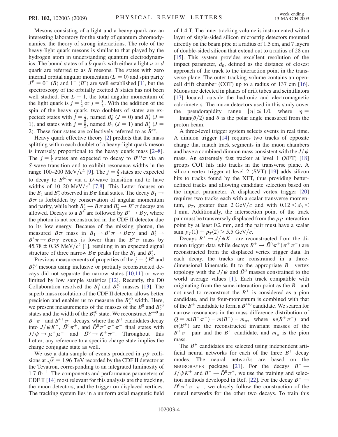Mesons consisting of a light and a heavy quark are an interesting laboratory for the study of quantum chromodynamics, the theory of strong interactions. The role of the heavy-light quark mesons is similar to that played by the hydrogen atom in understanding quantum electrodynamis in the bound states of a  $\bar{b}$ -quark with either a light u or d quark are referred to as  $B$  mesons. The states with zero internal orbital angular momentum  $(L = 0)$  and spin parity  $J^P = 0^-$  (*B*) and  $1^-$  (*B*<sup>\*</sup>) are well established [\[1\]](#page-6-0), but the spectroscopy of the orbitally excited  $B$  states has not been well studied. For  $L = 1$ , the total angular momentum of the light quark is  $j = \frac{1}{2}$  or  $j = \frac{3}{2}$ . With the addition of the spin of the heavy quark, two doublets of states are expected: states with  $j = \frac{1}{2}$ , named  $B_0^*$  ( $J = 0$ ) and  $B_1'$  ( $J =$ 1), and states with  $j = \frac{5}{2}$ , named  $B_1$  ( $J = 1$ ) and  $B_2^*$  ( $J =$ 2). These four states are collectively referred to as  $B^{**}$ .

Heavy quark effective theory [[2](#page-6-0)] predicts that the mass splitting within each doublet of a heavy-light quark meson is inversely proportional to the heavy quark mass [\[2](#page-6-0)–[8\]](#page-6-0). The  $j = \frac{1}{2}$  states are expected to decay to  $B^{(*)}\pi$  via an S-wave transition and to exhibit resonance widths in the range 100–200 MeV/ $c^2$  [\[9](#page-6-0)]. The  $j = \frac{3}{2}$  states are expected to decay to  $B^{(*)}\pi$  via a D-wave transition and to have widths of 10–20 MeV/ $c^2$  [\[7,8](#page-6-0)]. This Letter focuses on the  $B_1$  and  $B_2^*$  observed in  $B\pi$  final states. The decay  $B_1 \rightarrow$  $B\pi$  is forbidden by conservation of angular momentum and parity, while both  $B_2^* \to B\pi$  and  $B_2^* \to B^*\pi$  decays are allowed. Decays to a  $B^*$  are followed by  $B^* \to B\gamma$ , where the photon is not reconstructed in the CDF II detector due to its low energy. Because of the missing photon, the measured  $B\pi$  mass in  $B_1 \to B^* \pi \to B \pi \gamma$  and  $B_2^* \to$  $B^* \pi \rightarrow B \pi \gamma$  events is lower than the  $B^* \pi$  mass by  $45.78 \pm 0.35$  MeV/ $c^2$  [\[1](#page-6-0)], resulting in an expected signal structure of three narrow  $B\pi$  peaks for the  $B_1$  and  $B_2^*$ .

Previous measurements of properties of the  $j = \frac{3}{2}B_1^0$  and  $B_2^{*0}$  mesons using inclusive or partially reconstructed decays did not separate the narrow states [\[10,11\]](#page-6-0) or were limited by low sample statistics [\[12\]](#page-6-0). Recently, the D0 Collaboration resolved the  $B_1^0$  and  $B_2^{*0}$  masses [\[13\]](#page-6-0). The superb mass resolution of the CDF II detector allows better precision and enables us to measure the  $B_2^{\ast 0}$  width. Here, we present measurements of the masses of the  $B_1^0$  and  $B_2^{\ast 0}$ states and the width of the  $B_2^{*0}$  state. We reconstruct  $B^{**0}$  in  $B^+\pi^-$  and  $B^{*+}\pi^-$  decays, where the  $B^+$  candidates decay into  $J/\psi K^+$ ,  $\bar{D}^0 \pi^+$ , and  $\bar{D}^0 \pi^+ \pi^+ \pi^-$  final states with  $J/\psi \rightarrow \mu^+ \mu^-$  and  $\bar{D}^0 \rightarrow K^+ \pi^-$ . Throughout this Letter, any reference to a specific charge state implies the charge conjugate state as well.

We use a data sample of events produced in  $p\bar{p}$  colli-We use a data sample of events produced in  $p\bar{p}$  collisions at  $\sqrt{s} = 1.96$  TeV recorded by the CDF II detector at the Tevatron, corresponding to an integrated luminosity of  $1.7$  fb<sup>-1</sup>. The components and performance parameters of CDF II [\[14\]](#page-6-0) most relevant for this analysis are the tracking, the muon detectors, and the trigger on displaced vertices. The tracking system lies in a uniform axial magnetic field of 1.4 T. The inner tracking volume is instrumented with a layer of single-sided silicon microstrip detectors mounted directly on the beam pipe at a radius of 1.5 cm, and 7 layers of double-sided silicon that extend out to a radius of 28 cm [\[15\]](#page-6-0). This system provides excellent resolution of the impact parameter,  $d_0$ , defined as the distance of closest approach of the track to the interaction point in the transverse plane. The outer tracking volume contains an opencell drift chamber (COT) up to a radius of 137 cm [[16\]](#page-6-0). Muons are detected in planes of drift tubes and scintillators [\[17\]](#page-6-0) located outside the hadronic and electromagnetic calorimeters. The muon detectors used in this study cover the pseudorapidity range  $|\eta| \le 1.0$ , where  $\eta =$  $-\ln \tan(\theta/2)$  and  $\theta$  is the polar angle measured from the proton beam.

A three-level trigger system selects events in real time. A dimuon trigger [\[14\]](#page-6-0) requires two tracks of opposite charge that match track segments in the muon chambers and have a combined dimuon mass consistent with the  $J/\psi$ mass. An extremely fast tracker at level 1 (XFT) [\[18\]](#page-6-0) groups COT hits into tracks in the transverse plane. A silicon vertex trigger at level 2 (SVT) [\[19\]](#page-6-0) adds silicon hits to tracks found by the XFT, thus providing betterdefined tracks and allowing candidate selection based on the impact parameter. A displaced vertex trigger [\[20\]](#page-6-0) requires two tracks each with a scalar transverse momentum,  $p_T$ , greater than 2 GeV/c and with  $0.12 < d_0 <$ 1 mm. Additionally, the intersection point of the track pair must be transversely displaced from the  $p\bar{p}$  interaction point by at least 0.2 mm, and the pair must have a scalar sum  $p_T(1) + p_T(2) > 5.5$  GeV/c.

Decays  $B^+ \to J/\psi K^+$  are reconstructed from the dimuon trigger data while decays  $B^+ \to \bar{D}^0 \pi^+ (\pi^+ \pi^-)$  are reconstructed from the displaced vertex trigger data. In each decay, the tracks are constrained in a threedimensional kinematic fit to the appropriate  $B^+$  vertex topology with the  $J/\psi$  and  $\bar{D}^0$  masses constrained to the world average values [[1](#page-6-0)]. Each track compatible with originating from the same interaction point as the  $B^+$  and not used to reconstruct the  $B^+$  is considered as a pion candidate, and its four-momentum is combined with that of the  $B^+$  candidate to form a  $B^{**0}$  candidate. We search for narrow resonances in the mass difference distribution of  $Q = m(B^+\pi^-) - m(B^+) - m_{\pi}$ , where  $m(B^+\pi^-)$  and  $m(B<sup>+</sup>)$  are the reconstructed invariant masses of the  $B^{+}\pi^{-}$  pair and the  $B^{+}$  candidate, and  $m_{\pi}$  is the pion mass.

The  $B^+$  candidates are selected using independent artificial neural networks for each of the three  $B^+$  decay modes. The neural networks are based on the NEUROBAYES package [[21\]](#page-6-0). For the decays  $B^+ \rightarrow$  $J/\psi K^+$  and  $B^+ \to \bar{D}^0 \pi^+$ , we use the training and selec-tion methods developed in Ref. [[22](#page-6-0)]. For the decay  $B^+ \rightarrow$  $\overline{D}^0 \pi^+ \pi^+ \pi^-$ , we closely follow the construction of the neural networks for the other two decays. To train this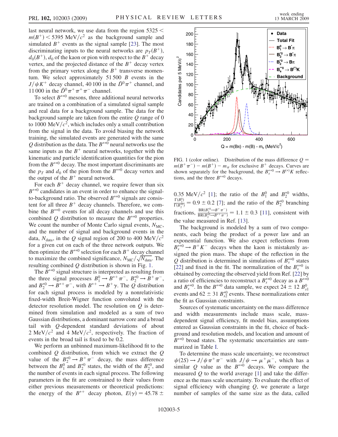<span id="page-4-0"></span>last neural network, we use data from the region 5325 <  $m(B^+)$  < 5395 MeV/ $c^2$  as the background sample and simulated  $B^+$  events as the signal sample [[23](#page-6-0)]. The most discriminating inputs to the neural networks are  $p_T(B^+)$ ,  $d_0(B^+)$ ,  $d_0$  of the kaon or pion with respect to the  $B^+$  decay vertex, and the projected distance of the  $B^+$  decay vertex from the primary vertex along the  $B^+$  transverse momentum. We select approximately  $51,500$  B events in the  $J/\psi K^+$  decay channel, 40 100 in the  $\bar{D}^0 \pi^+$  channel, and 11 000 in the  $\overline{D}^0 \pi^+ \pi^+ \pi^-$  channel.

To select  $B^{**0}$  mesons, three additional neural networks are trained on a combination of a simulated signal sample and real data for a background sample. The data for the background sample are taken from the entire  $Q$  range of  $0$ to 1000 MeV/ $c^2$ , which includes only a small contribution from the signal in the data. To avoid biasing the network training, the simulated events are generated with the same Q distribution as the data. The  $B^{**0}$  neural networks use the same inputs as the  $B^+$  neural networks, together with the kinematic and particle identification quantities for the pion from the  $B^{**0}$  decay. The most important discriminants are the  $p_T$  and  $d_0$  of the pion from the  $B^{**0}$  decay vertex and the output of the  $B^+$  neural network.

For each  $B^+$  decay channel, we require fewer than six  $B^{**0}$  candidates in an event in order to enhance the signalto-background ratio. The observed  $B^{**0}$  signals are consistent for all three  $B^+$  decay channels. Therefore, we combine the  $B^{**0}$  events for all decay channels and use this combined Q distribution to measure the  $B^{**0}$  properties. We count the number of Monte Carlo signal events,  $N<sub>MC</sub>$ , and the number of signal and background events in the data,  $N_{data}$ , in the Q signal region of 200 to 400 MeV/ $c^2$ for a given cut on each of the three network outputs. We then optimize the  $B^{**0}$  selection for each  $B^+$  decay channel then optimize the  $B^{**0}$  selection for each  $B^+$  decay channel<br>to maximize the combined significance,  $N_{MC}/\sqrt{N_{data}}$ . The resulting combined  $Q$  distribution is shown in Fig. 1.

The  $B^{**0}$  signal structure is interpreted as resulting from the three signal processes  $B_1^0 \rightarrow B^{*+} \pi^-$ ,  $B_2^{*0} \rightarrow B^+ \pi^-$ , and  $B_2^{*0} \to B^{*+} \pi^-$ , with  $B^{*+} \to B^+ \gamma$ . The  $\overline{Q}$  distribution for each signal process is modeled by a nonrelativistic fixed-width Breit-Wigner function convoluted with the detector resolution model. The resolution on  $Q$  is determined from simulation and modeled as a sum of two Gaussian distributions, a dominant narrow core and a broad tail with Q-dependent standard deviations of about 2 MeV/ $c^2$  and 4 MeV/ $c^2$ , respectively. The fraction of events in the broad tail is fixed to be 0.2.

We perform an unbinned maximum-likelihood fit to the combined  $Q$  distribution, from which we extract the  $Q$ value of the  $B_2^{*0} \rightarrow B^+ \pi^-$  decay, the mass difference between the  $B_1^0$  and  $B_2^{*0}$  states, the width of the  $B_2^{*0}$ , and the number of events in each signal process. The following parameters in the fit are constrained to their values from either previous measurements or theoretical predictions: the energy of the  $B^{*+}$  decay photon,  $E(\gamma) = 45.78 \pm$ 



FIG. 1 (color online). Distribution of the mass difference  $Q =$  $m(B^+\pi^-) - m(B^+) - m_\pi$  for exclusive  $B^+$  decays. Curves are shown separately for the background, the  $B_s^{**0} \to B^{(*)}K$  reflections, and the three  $B^{**0}$  decays.

0.35 MeV/ $c^2$  [\[1\]](#page-6-0); the ratio of the  $B_1^0$  and  $B_2^{*0}$  widths,  $\frac{\Gamma(B_1^0)}{\Gamma(B_2^{*0})} = 0.9 \pm 0.2$  [\[7](#page-6-0)]; and the ratio of the  $B_2^{*0}$  branching fractions,  $\frac{BR(B_2^{*0} \to B^+ \pi^-)}{BR(B_2^{*0} \to B^{*+} \pi^-)}$  = 1.1 ± 0.3 [[11](#page-6-0)], consistent with the value measured in Ref. [[13](#page-6-0)].

The background is modeled by a sum of two components, each being the product of a power law and an exponential function. We also expect reflections from  $B_s^{*,0} \to B^+ K^-$  decays when the kaon is mistakenly assigned the pion mass. The shape of the reflection in the Q distribution is determined in simulations of  $B_{s}^{*0}$  states [\[22\]](#page-6-0) and fixed in the fit. The normalization of the  $B_s^{**0}$  is obtained by correcting the observed yield from Ref. [[22](#page-6-0)] by a ratio of efficiencies to reconstruct a  $B_{s}^{**0}$  decay as a  $B^{**0}$ and  $B_s^{**0}$ . In the  $B^{**0}$  data sample, we expect  $24 \pm 12 B_{s1}^0$ events and 62  $\pm$  31  $B_{s2}^{*0}$  events. These normalizations enter the fit as Gaussian constraints.

Sources of systematic uncertainty on the mass difference and width measurements include mass scale, massdependent signal efficiency, fit model bias, assumptions entered as Gaussian constraints in the fit, choice of background and resolution models, and location and amount of  $B^{**0}$  broad states. The systematic uncertainties are summarized in Table [I.](#page-5-0)

To determine the mass scale uncertainty, we reconstruct  $\psi(2S) \rightarrow J/\psi \pi^+ \pi^-$  with  $J/\psi \rightarrow \mu^+ \mu^-$ , which has a similar Q value as the  $B^{**0}$  decays. We compare the measured  $Q$  to the world average  $[1]$  and take the difference as the mass scale uncertainty. To evaluate the effect of signal efficiency with changing  $Q$ , we generate a large number of samples of the same size as the data, called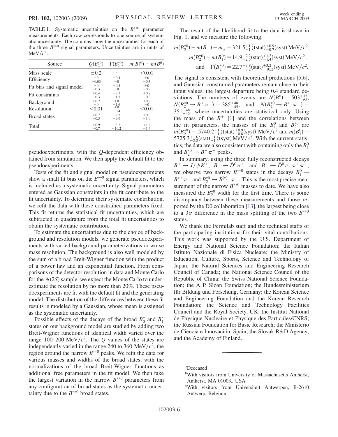<span id="page-5-0"></span>TABLE I. Systematic uncertainties on the  $B^{**0}$  parameter measurements. Each row corresponds to one source of systematic uncertainty. The columns show the uncertainties for each of the three  $B^{**0}$  signal parameters. Uncertainties are in units of MeV/ $c^2$ .

| Source                    | $Q(B_2^{*0})$ | $\Gamma(B_2^{*0})$ | $m(B_2^{*0})$<br>$-m(B_1^0)$ |
|---------------------------|---------------|--------------------|------------------------------|
| Mass scale                | $\pm 0.2$     | .                  | < 0.01                       |
| Efficiency                | $+0$          | $+0.4$             | $+0$                         |
|                           | $-0.03$       | $-0$               | $-0.3$                       |
| Fit bias and signal model | $+0$          | $+0.4$             | $+0$                         |
|                           | $-0.3$        | $-0$               | $-0.2$                       |
| Fit constraints           | $+0.4$        | $+2.1$             | $+0.7$                       |
|                           | $-0.3$        | $-1.5$             | $-0.9$                       |
| <b>Background</b>         | $+0.2$        | $+0$               | $+0.2$                       |
|                           | $-0$          | $-1.6$             | $-0$                         |
| Resolution                | < 0.01        | $+0$<br>$-0.4$     | < 0.01                       |
| <b>Broad</b> states       | $+0.7$        | $+2.3$             | $+0.9$                       |
|                           | $-0.5$        | $-9.9$             | $-1.0$                       |
| Total                     | $+0.9$        | $+3.2$             | $+1.2$                       |
|                           | $-0.7$        | $-10.2$            | $-1.4$                       |

pseudoexperiments, with the Q-dependent efficiency obtained from simulation. We then apply the default fit to the pseudoexperiments.

Tests of the fit and signal model on pseudoexperiments show a small fit bias on the  $B^{**0}$  signal parameters, which is included as a systematic uncertainty. Signal parameters entered as Gaussian constraints in the fit contribute to the fit uncertainty. To determine their systematic contribution, we refit the data with these constrained parameters fixed. This fit returns the statistical fit uncertainties, which are subtracted in quadrature from the total fit uncertainties to obtain the systematic contribution.

To estimate the uncertainties due to the choice of background and resolution models, we generate pseudoexperiments with varied background parameterizations or worse mass resolution. The background is also well modeled by the sum of a broad Breit-Wigner function with the product of a power law and an exponential function. From comparisons of the detector resolution in data and Monte Carlo for the  $\psi(2S)$  sample, we expect the Monte Carlo to underestimate the resolution by no more than 20%. These pseudoexperiments are fit with the default fit and the generating model. The distribution of the differences between these fit results is modeled by a Gaussian, whose mean is assigned as the systematic uncertainty.

Possible effects of the decays of the broad  $B_0^*$  and  $B_1'$ states on our background model are studied by adding two Breit-Wigner functions of identical width varied over the range 100–200 MeV/ $c^2$ . The Q values of the states are independently varied in the range 240 to 360 MeV/ $c^2$ , the region around the narrow  $B^{**0}$  peaks. We refit the data for various masses and widths of the broad states, with the normalizations of the broad Breit-Wigner functions as additional free parameters in the fit model. We then take the largest variation in the narrow  $B^{**0}$  parameters from any configuration of broad states as the systematic uncertainty due to the  $B^{**0}$  broad states.

The result of the likelihood fit to the data is shown in Fig. [1,](#page-4-0) and we measure the following:

$$
m(B_2^{*0}) - m(B^+) - m_\pi = 321.5^{+1.7}_{-1.8} \text{(stat)}^{+0.9}_{-0.7} \text{(syst)} \text{ MeV}/c^2;
$$
\n
$$
m(B_2^{*0}) - m(B_1^0) = 14.9^{+2.2}_{-2.5} \text{(stat)}^{+1.2}_{-1.4} \text{(syst)} \text{ MeV}/c^2;
$$
\nand  $\Gamma(B_2^{*0}) = 22.7^{+3.8}_{-3.2} \text{(stat)}^{+3.2}_{-10.2} \text{(syst)} \text{ MeV}/c^2.$ 

The signal is consistent with theoretical predictions [[5](#page-6-0),[6\]](#page-6-0), and Gaussian-constrained parameters remain close to their input values, the largest departure being 0.4 standard deviations. The numbers of events are  $N(B_1^0) = 503_{-68}^{+75}$ ,  $N(B_2^{*0} \rightarrow B^+ \pi^-) = 385^{+48}_{-45}$ , and  $N(B_2^{*0} \rightarrow B^+ \pi^-) =$  $351^{+48}_{-45}$ , where uncertainties are statistical only. Using the mass of the  $B^+$  [[1](#page-6-0)] and the correlations between the fit parameters, the masses of the  $B_1^0$  and  $B_2^{*0}$  are  $m(B_2^{*0}) = 5740.2^{+1.7}_{-1.8}$ (stat) $^{+0.9}_{-0.8}$ (syst) MeV/ $c^2$  and  $m(B_1^0) =$ <br>5725.3<sup>+1.6</sup>(stat)<sup>-1.4</sup>(syst) MeV/ $c^2$ . With the current statistics, the data are also consistent with containing only the  $B_1^0$ and  $B_2^{*0} \rightarrow B^+ \pi^-$  peaks.

In summary, using the three fully reconstructed decays  $B^+ \rightarrow J/\psi K^+$ ,  $B^+ \rightarrow \bar{D}^0 \pi^+$ , and  $B^+ \rightarrow \bar{D}^0 \pi^+ \pi^-$ , we observe two narrow  $B^{**0}$  states in the decays  $B_1^0 \rightarrow$  $B^{*+}\pi^-$  and  $B_2^{*0} \to B^{(*)+}\pi^-$ . This is the most precise measurement of the narrow  $B^{**0}$  masses to date. We have also measured the  $B_2^{*0}$  width for the first time. There is some discrepancy between these measurements and those reported by the D0 collaboration [\[13\]](#page-6-0), the largest being close to a  $3\sigma$  difference in the mass splitting of the two  $B^{**0}$ states.

We thank the Fermilab staff and the technical staffs of the participating institutions for their vital contributions. This work was supported by the U.S. Department of Energy and National Science Foundation; the Italian Istituto Nazionale di Fisica Nucleare; the Ministry of Education, Culture, Sports, Science and Technology of Japan; the Natural Sciences and Engineering Research Council of Canada; the National Science Council of the Republic of China; the Swiss National Science Foundation; the A. P. Sloan Foundation; the Bundesministerium für Bildung und Forschung, Germany; the Korean Science and Engineering Foundation and the Korean Research Foundation; the Science and Technology Facilities Council and the Royal Society, UK; the Institut National de Physique Nucleaire et Physique des Particules/CNRS; the Russian Foundation for Basic Research; the Ministerio de Ciencia e Innovación, Spain; the Slovak R&D Agency; and the Academy of Finland.

[a](#page-1-0) Deceased

[b](#page-0-0) With visitors from University of Massachusetts Amherst, Amherst, MA 01003., USA

[c](#page-1-0) With visitors from Universiteit Antwerpen, B-2610 Antwerp, Belgium.